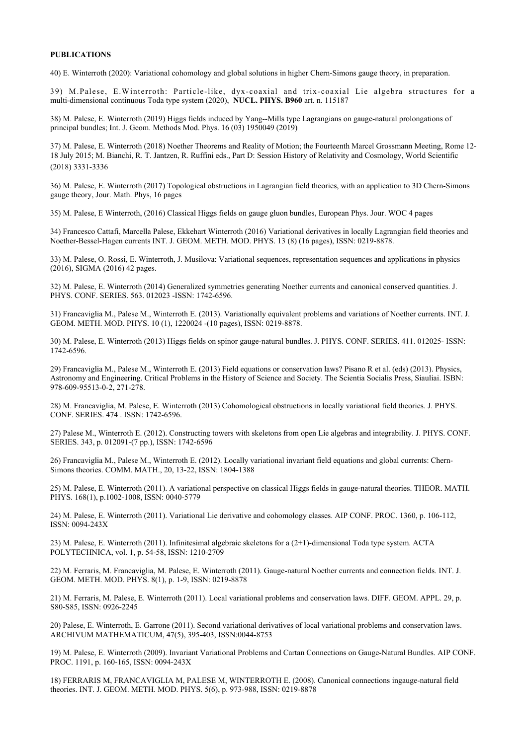## **PUBLICATIONS**

40) E. Winterroth (2020): Variational cohomology and global solutions in higher Chern-Simons gauge theory, in preparation.

39) M.Palese, E.Winterroth: Particle-like, dyx-coaxial and trix-coaxial Lie algebra structures for a multi-dimensional continuous Toda type system (2020), **NUCL. PHYS. B960** art. n. 115187

38) M. Palese, E. Winterroth (2019) Higgs fields induced by Yang--Mills type Lagrangians on gauge-natural prolongations of principal bundles; Int. J. Geom. Methods Mod. Phys. 16 (03) 1950049 (2019)

37) M. Palese, E. Winterroth (2018) Noether Theorems and Reality of Motion; the Fourteenth Marcel Grossmann Meeting, Rome 12- 18 July 2015; M. Bianchi, R. T. Jantzen, R. Ruffini eds., Part D: Session History of Relativity and Cosmology, World Scientific (2018) 3331-3336

36) M. Palese, E. Winterroth (2017) Topological obstructions in Lagrangian field theories, with an application to 3D Chern-Simons gauge theory, Jour. Math. Phys, 16 pages

35) M. Palese, E Winterroth, (2016) Classical Higgs fields on gauge gluon bundles, European Phys. Jour. WOC 4 pages

34) Francesco Cattafi, Marcella Palese, Ekkehart Winterroth (2016) Variational derivatives in locally Lagrangian field theories and Noether-Bessel-Hagen currents INT. J. GEOM. METH. MOD. PHYS. 13 (8) (16 pages), ISSN: 0219-8878.

33) M. Palese, O. Rossi, E. Winterroth, J. Musilova: Variational sequences, representation sequences and applications in physics (2016), SIGMA (2016) 42 pages.

32) M. Palese, E. Winterroth (2014) Generalized symmetries generating Noether currents and canonical conserved quantities. J. PHYS. CONF. SERIES. 563. 012023 -ISSN: 1742-6596.

31) Francaviglia M., Palese M., Winterroth E. (2013). Variationally equivalent problems and variations of Noether currents. INT. J. GEOM. METH. MOD. PHYS. 10 (1), 1220024 -(10 pages), ISSN: 0219-8878.

30) M. Palese, E. Winterroth (2013) Higgs fields on spinor gauge-natural bundles. J. PHYS. CONF. SERIES. 411. 012025- ISSN: 1742-6596.

29) Francaviglia M., Palese M., Winterroth E. (2013) Field equations or conservation laws? Pisano R et al. (eds) (2013). Physics, Astronomy and Engineering. Critical Problems in the History of Science and Society. The Scientia Socialis Press, Siauliai. ISBN: 978-609-95513-0-2, 271-278.

28) M. Francaviglia, M. Palese, E. Winterroth (2013) Cohomological obstructions in locally variational field theories. J. PHYS. CONF. SERIES. 474 . ISSN: 1742-6596.

27) Palese M., Winterroth E. (2012). Constructing towers with skeletons from open Lie algebras and integrability. J. PHYS. CONF. SERIES. 343, p. 012091-(7 pp.), ISSN: 1742-6596

26) Francaviglia M., Palese M., Winterroth E. (2012). Locally variational invariant field equations and global currents: Chern-Simons theories. COMM. MATH., 20, 13-22, ISSN: 1804-1388

25) M. Palese, E. Winterroth (2011). A variational perspective on classical Higgs fields in gauge-natural theories. THEOR. MATH. PHYS. 168(1), p.1002-1008, ISSN: 0040-5779

24) M. Palese, E. Winterroth (2011). Variational Lie derivative and cohomology classes. AIP CONF. PROC. 1360, p. 106-112, ISSN: 0094-243X

23) M. Palese, E. Winterroth (2011). Infinitesimal algebraic skeletons for a (2+1)-dimensional Toda type system. ACTA POLYTECHNICA, vol. 1, p. 54-58, ISSN: 1210-2709

22) M. Ferraris, M. Francaviglia, M. Palese, E. Winterroth (2011). Gauge-natural Noether currents and connection fields. INT. J. GEOM. METH. MOD. PHYS. 8(1), p. 1-9, ISSN: 0219-8878

21) M. Ferraris, M. Palese, E. Winterroth (2011). Local variational problems and conservation laws. DIFF. GEOM. APPL. 29, p. S80-S85, ISSN: 0926-2245

20) Palese, E. Winterroth, E. Garrone (2011). Second variational derivatives of local variational problems and conservation laws. ARCHIVUM MATHEMATICUM, 47(5), 395-403, ISSN:0044-8753

19) M. Palese, E. Winterroth (2009). Invariant Variational Problems and Cartan Connections on Gauge-Natural Bundles. AIP CONF. PROC. 1191, p. 160-165, ISSN: 0094-243X

18) FERRARIS M, FRANCAVIGLIA M, PALESE M, WINTERROTH E. (2008). Canonical connections ingauge-natural field theories. INT. J. GEOM. METH. MOD. PHYS. 5(6), p. 973-988, ISSN: 0219-8878